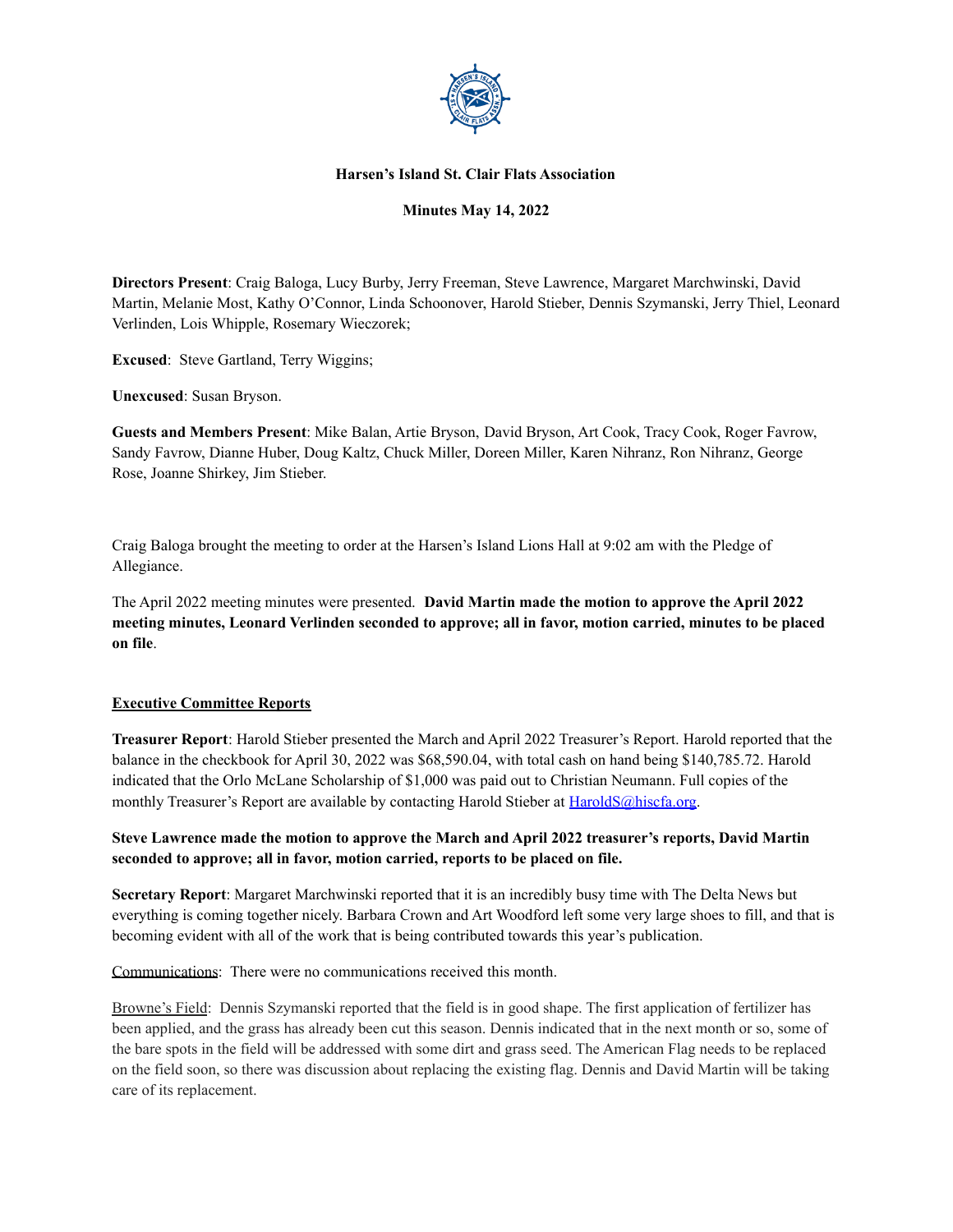

### **Harsen's Island St. Clair Flats Association**

## **Minutes May 14, 2022**

**Directors Present**: Craig Baloga, Lucy Burby, Jerry Freeman, Steve Lawrence, Margaret Marchwinski, David Martin, Melanie Most, Kathy O'Connor, Linda Schoonover, Harold Stieber, Dennis Szymanski, Jerry Thiel, Leonard Verlinden, Lois Whipple, Rosemary Wieczorek;

**Excused**: Steve Gartland, Terry Wiggins;

**Unexcused**: Susan Bryson.

**Guests and Members Present**: Mike Balan, Artie Bryson, David Bryson, Art Cook, Tracy Cook, Roger Favrow, Sandy Favrow, Dianne Huber, Doug Kaltz, Chuck Miller, Doreen Miller, Karen Nihranz, Ron Nihranz, George Rose, Joanne Shirkey, Jim Stieber.

Craig Baloga brought the meeting to order at the Harsen's Island Lions Hall at 9:02 am with the Pledge of Allegiance.

The April 2022 meeting minutes were presented. **David Martin made the motion to approve the April 2022 meeting minutes, Leonard Verlinden seconded to approve; all in favor, motion carried, minutes to be placed on file**.

#### **Executive Committee Reports**

**Treasurer Report**: Harold Stieber presented the March and April 2022 Treasurer's Report. Harold reported that the balance in the checkbook for April 30, 2022 was \$68,590.04, with total cash on hand being \$140,785.72. Harold indicated that the Orlo McLane Scholarship of \$1,000 was paid out to Christian Neumann. Full copies of the monthly Treasurer's Report are available by contacting Harold Stieber at [HaroldS@hiscfa.org.](mailto:HaroldS@hiscfa.org)

# **Steve Lawrence made the motion to approve the March and April 2022 treasurer's reports, David Martin seconded to approve; all in favor, motion carried, reports to be placed on file.**

**Secretary Report**: Margaret Marchwinski reported that it is an incredibly busy time with The Delta News but everything is coming together nicely. Barbara Crown and Art Woodford left some very large shoes to fill, and that is becoming evident with all of the work that is being contributed towards this year's publication.

Communications: There were no communications received this month.

Browne's Field: Dennis Szymanski reported that the field is in good shape. The first application of fertilizer has been applied, and the grass has already been cut this season. Dennis indicated that in the next month or so, some of the bare spots in the field will be addressed with some dirt and grass seed. The American Flag needs to be replaced on the field soon, so there was discussion about replacing the existing flag. Dennis and David Martin will be taking care of its replacement.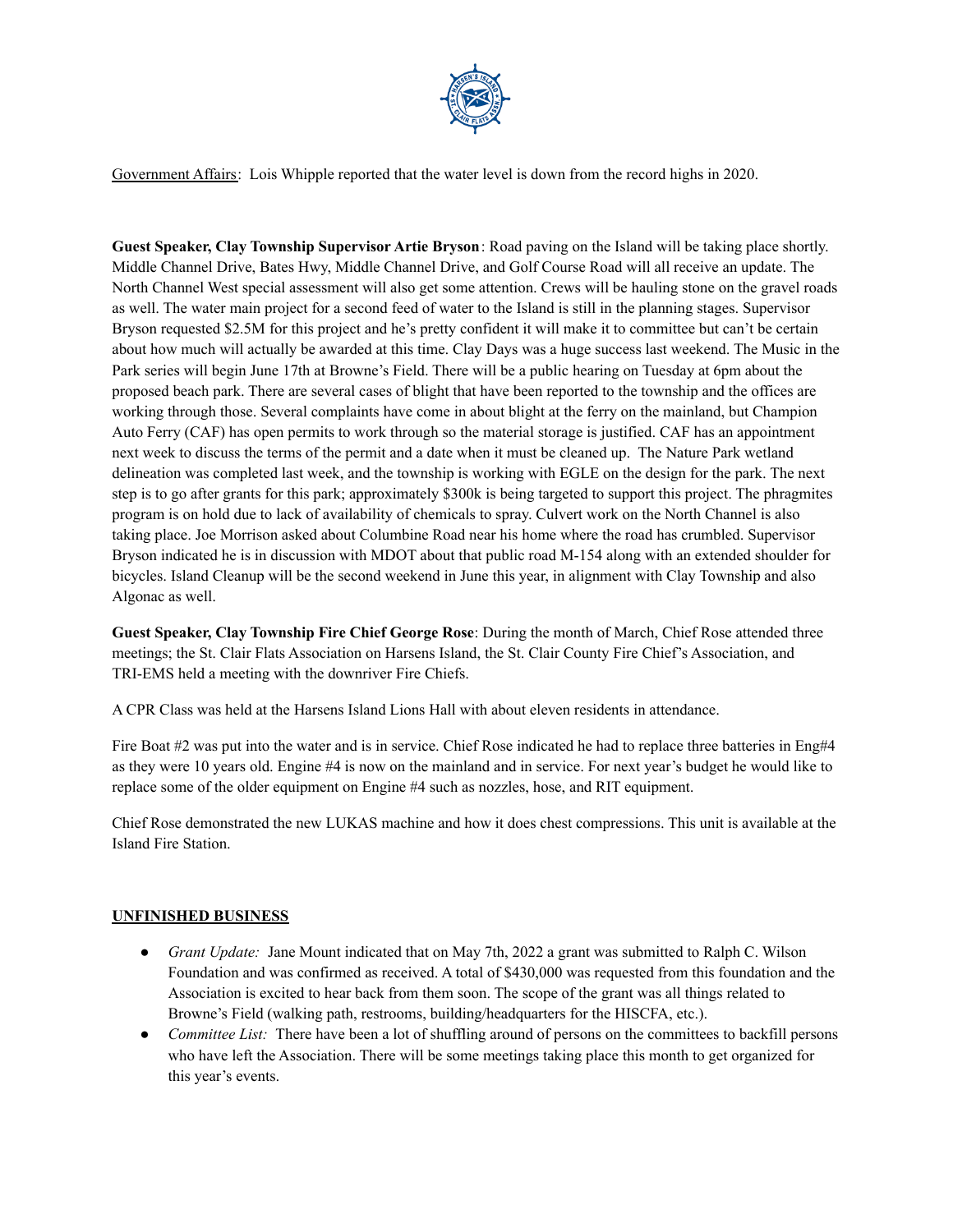

Government Affairs: Lois Whipple reported that the water level is down from the record highs in 2020.

**Guest Speaker, Clay Township Supervisor Artie Bryson**: Road paving on the Island will be taking place shortly. Middle Channel Drive, Bates Hwy, Middle Channel Drive, and Golf Course Road will all receive an update. The North Channel West special assessment will also get some attention. Crews will be hauling stone on the gravel roads as well. The water main project for a second feed of water to the Island is still in the planning stages. Supervisor Bryson requested \$2.5M for this project and he's pretty confident it will make it to committee but can't be certain about how much will actually be awarded at this time. Clay Days was a huge success last weekend. The Music in the Park series will begin June 17th at Browne's Field. There will be a public hearing on Tuesday at 6pm about the proposed beach park. There are several cases of blight that have been reported to the township and the offices are working through those. Several complaints have come in about blight at the ferry on the mainland, but Champion Auto Ferry (CAF) has open permits to work through so the material storage is justified. CAF has an appointment next week to discuss the terms of the permit and a date when it must be cleaned up. The Nature Park wetland delineation was completed last week, and the township is working with EGLE on the design for the park. The next step is to go after grants for this park; approximately \$300k is being targeted to support this project. The phragmites program is on hold due to lack of availability of chemicals to spray. Culvert work on the North Channel is also taking place. Joe Morrison asked about Columbine Road near his home where the road has crumbled. Supervisor Bryson indicated he is in discussion with MDOT about that public road M-154 along with an extended shoulder for bicycles. Island Cleanup will be the second weekend in June this year, in alignment with Clay Township and also Algonac as well.

**Guest Speaker, Clay Township Fire Chief George Rose**: During the month of March, Chief Rose attended three meetings; the St. Clair Flats Association on Harsens Island, the St. Clair County Fire Chief's Association, and TRI-EMS held a meeting with the downriver Fire Chiefs.

A CPR Class was held at the Harsens Island Lions Hall with about eleven residents in attendance.

Fire Boat #2 was put into the water and is in service. Chief Rose indicated he had to replace three batteries in Eng#4 as they were 10 years old. Engine #4 is now on the mainland and in service. For next year's budget he would like to replace some of the older equipment on Engine #4 such as nozzles, hose, and RIT equipment.

Chief Rose demonstrated the new LUKAS machine and how it does chest compressions. This unit is available at the Island Fire Station.

# **UNFINISHED BUSINESS**

- *● Grant Update:* Jane Mount indicated that on May 7th, 2022 a grant was submitted to Ralph C. Wilson Foundation and was confirmed as received. A total of \$430,000 was requested from this foundation and the Association is excited to hear back from them soon. The scope of the grant was all things related to Browne's Field (walking path, restrooms, building/headquarters for the HISCFA, etc.).
- *● Committee List:* There have been a lot of shuffling around of persons on the committees to backfill persons who have left the Association. There will be some meetings taking place this month to get organized for this year's events.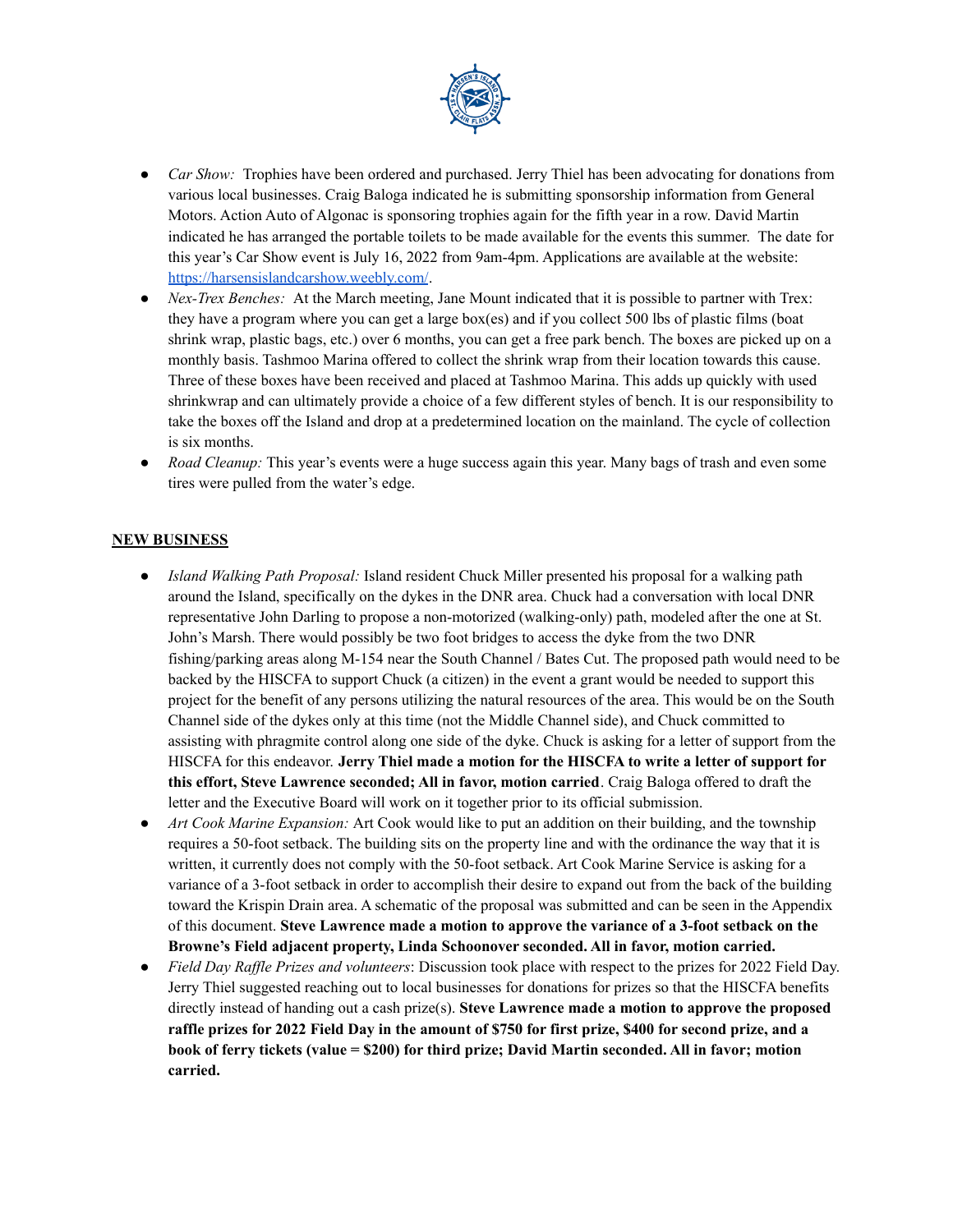

- *● Car Show:* Trophies have been ordered and purchased. Jerry Thiel has been advocating for donations from various local businesses. Craig Baloga indicated he is submitting sponsorship information from General Motors. Action Auto of Algonac is sponsoring trophies again for the fifth year in a row. David Martin indicated he has arranged the portable toilets to be made available for the events this summer. The date for this year's Car Show event is July 16, 2022 from 9am-4pm. Applications are available at the website: <https://harsensislandcarshow.weebly.com/>.
- *Nex-Trex Benches:* At the March meeting, Jane Mount indicated that it is possible to partner with Trex: they have a program where you can get a large box(es) and if you collect 500 lbs of plastic films (boat shrink wrap, plastic bags, etc.) over 6 months, you can get a free park bench. The boxes are picked up on a monthly basis. Tashmoo Marina offered to collect the shrink wrap from their location towards this cause. Three of these boxes have been received and placed at Tashmoo Marina. This adds up quickly with used shrinkwrap and can ultimately provide a choice of a few different styles of bench. It is our responsibility to take the boxes off the Island and drop at a predetermined location on the mainland. The cycle of collection is six months.
- *Road Cleanup:* This year's events were a huge success again this year. Many bags of trash and even some tires were pulled from the water's edge.

### **NEW BUSINESS**

- *Island Walking Path Proposal:* Island resident Chuck Miller presented his proposal for a walking path around the Island, specifically on the dykes in the DNR area. Chuck had a conversation with local DNR representative John Darling to propose a non-motorized (walking-only) path, modeled after the one at St. John's Marsh. There would possibly be two foot bridges to access the dyke from the two DNR fishing/parking areas along M-154 near the South Channel / Bates Cut. The proposed path would need to be backed by the HISCFA to support Chuck (a citizen) in the event a grant would be needed to support this project for the benefit of any persons utilizing the natural resources of the area. This would be on the South Channel side of the dykes only at this time (not the Middle Channel side), and Chuck committed to assisting with phragmite control along one side of the dyke. Chuck is asking for a letter of support from the HISCFA for this endeavor. **Jerry Thiel made a motion for the HISCFA to write a letter of support for this effort, Steve Lawrence seconded; All in favor, motion carried**. Craig Baloga offered to draft the letter and the Executive Board will work on it together prior to its official submission.
- *● Art Cook Marine Expansion:* Art Cook would like to put an addition on their building, and the township requires a 50-foot setback. The building sits on the property line and with the ordinance the way that it is written, it currently does not comply with the 50-foot setback. Art Cook Marine Service is asking for a variance of a 3-foot setback in order to accomplish their desire to expand out from the back of the building toward the Krispin Drain area. A schematic of the proposal was submitted and can be seen in the Appendix of this document. **Steve Lawrence made a motion to approve the variance of a 3-foot setback on the Browne's Field adjacent property, Linda Schoonover seconded. All in favor, motion carried.**
- *Field Day Raf le Prizes and volunteers*: Discussion took place with respect to the prizes for 2022 Field Day. Jerry Thiel suggested reaching out to local businesses for donations for prizes so that the HISCFA benefits directly instead of handing out a cash prize(s). **Steve Lawrence made a motion to approve the proposed** raffle prizes for 2022 Field Day in the amount of \$750 for first prize, \$400 for second prize, and a **book of ferry tickets (value = \$200) for third prize; David Martin seconded. All in favor; motion carried.**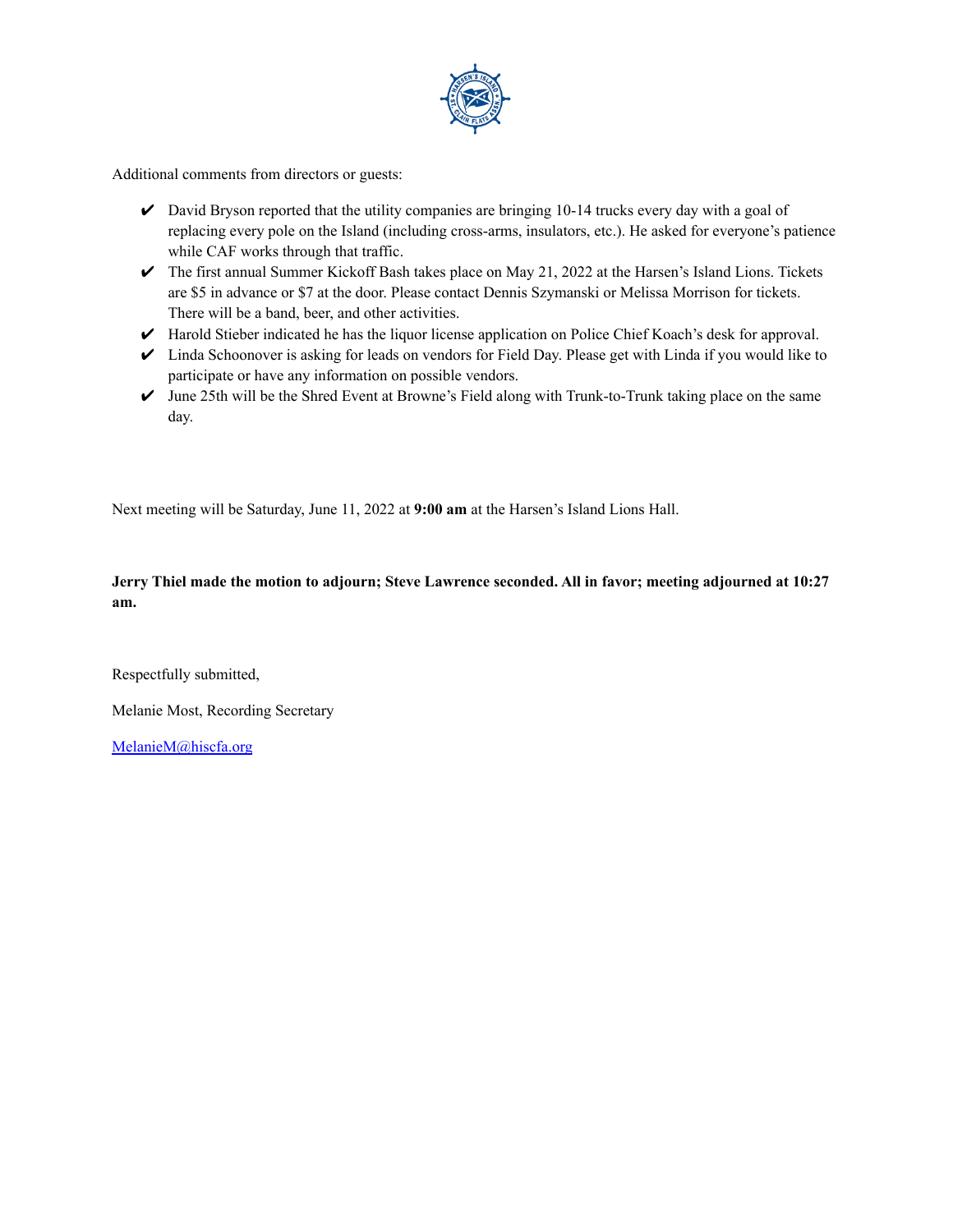

Additional comments from directors or guests:

- $\triangleright$  David Bryson reported that the utility companies are bringing 10-14 trucks every day with a goal of replacing every pole on the Island (including cross-arms, insulators, etc.). He asked for everyone's patience while CAF works through that traffic.
- $\triangledown$  The first annual Summer Kickoff Bash takes place on May 21, 2022 at the Harsen's Island Lions. Tickets are \$5 in advance or \$7 at the door. Please contact Dennis Szymanski or Melissa Morrison for tickets. There will be a band, beer, and other activities.
- ✔ Harold Stieber indicated he has the liquor license application on Police Chief Koach's desk for approval.
- $\triangleright$  Linda Schoonover is asking for leads on vendors for Field Day. Please get with Linda if you would like to participate or have any information on possible vendors.
- $\triangleright$  June 25th will be the Shred Event at Browne's Field along with Trunk-to-Trunk taking place on the same day.

Next meeting will be Saturday, June 11, 2022 at **9:00 am** at the Harsen's Island Lions Hall.

**Jerry Thiel made the motion to adjourn; Steve Lawrence seconded. All in favor; meeting adjourned at 10:27 am.**

Respectfully submitted,

Melanie Most, Recording Secretary

[MelanieM@hiscfa.org](mailto:MelanieM@hiscfa.org)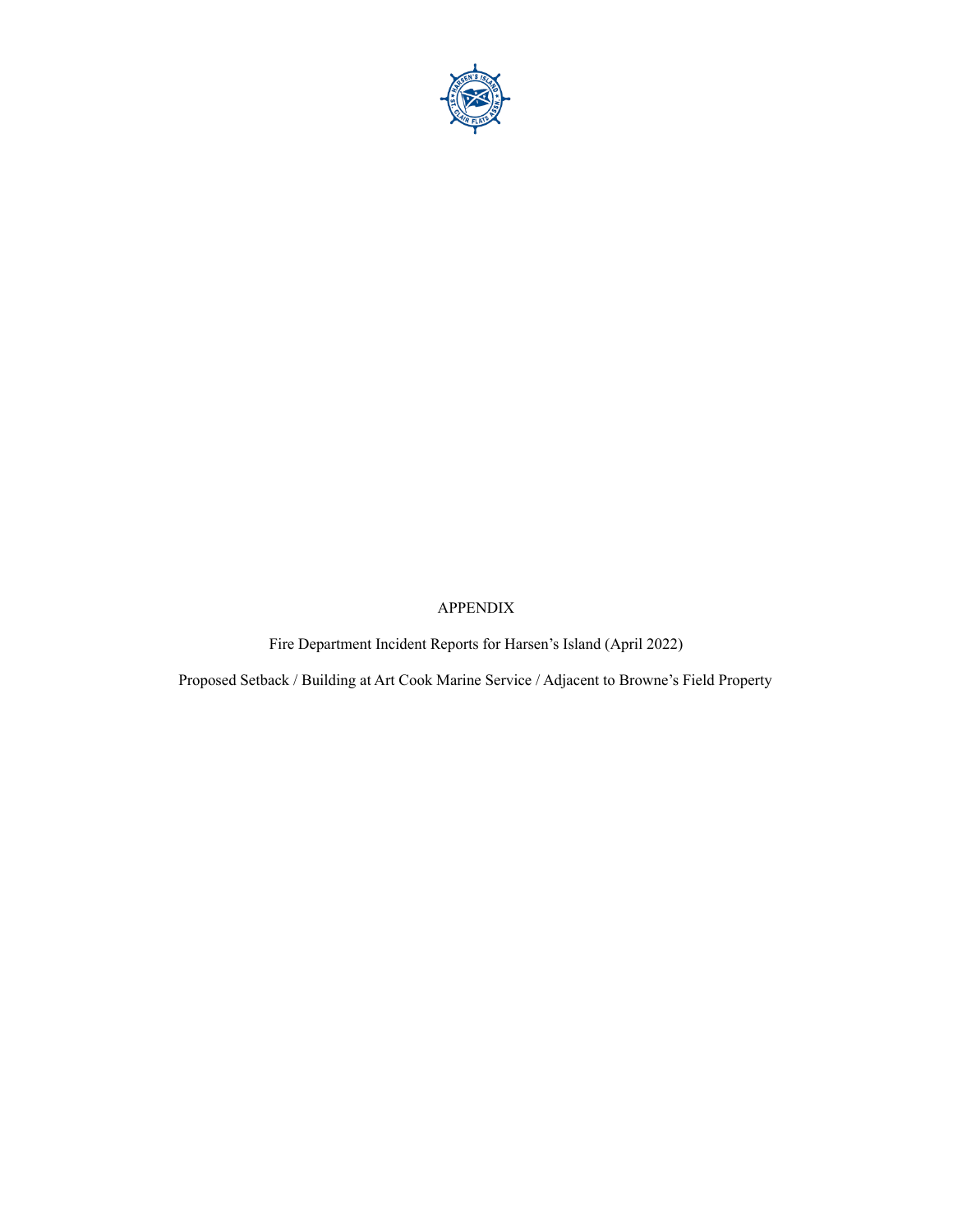

# APPENDIX

Fire Department Incident Reports for Harsen's Island (April 2022)

Proposed Setback / Building at Art Cook Marine Service / Adjacent to Browne's Field Property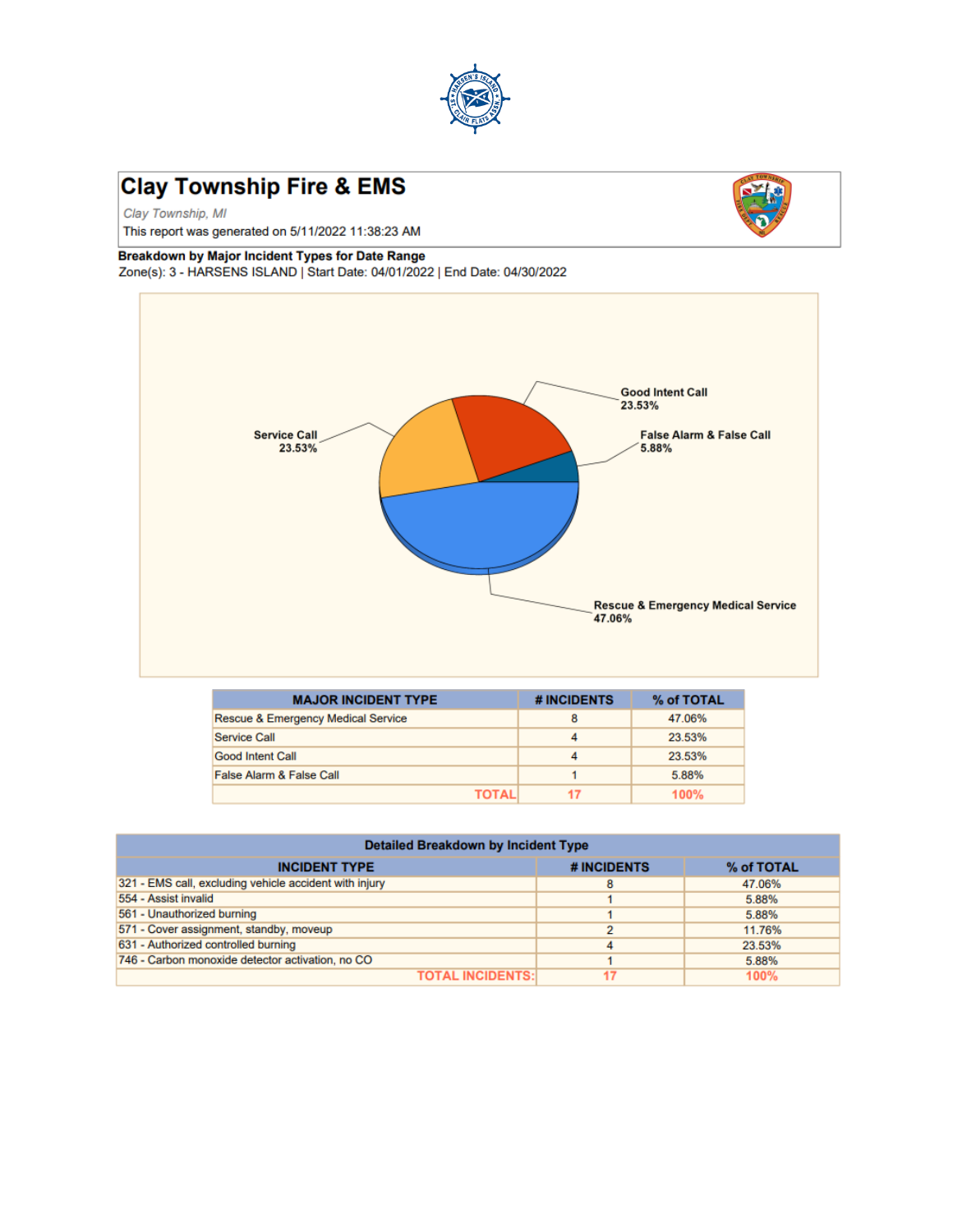

# **Clay Township Fire & EMS**

Clay Township, MI

This report was generated on 5/11/2022 11:38:23 AM

### Breakdown by Major Incident Types for Date Range

Zone(s): 3 - HARSENS ISLAND | Start Date: 04/01/2022 | End Date: 04/30/2022



| <b>MAJOR INCIDENT TYPE</b>         | # INCIDENTS | % of TOTAL |
|------------------------------------|-------------|------------|
| Rescue & Emergency Medical Service | 8           | 47.06%     |
| <b>Service Call</b>                | Δ           | 23.53%     |
| <b>Good Intent Call</b>            |             | 23.53%     |
| False Alarm & False Call           |             | 5.88%      |
| ΤΩΤΔΙ                              |             | 100%       |

| <b>Detailed Breakdown by Incident Type</b>             |             |            |  |
|--------------------------------------------------------|-------------|------------|--|
| <b>INCIDENT TYPE</b>                                   | # INCIDENTS | % of TOTAL |  |
| 321 - EMS call, excluding vehicle accident with injury |             | 47.06%     |  |
| 554 - Assist invalid                                   |             | 5.88%      |  |
| 561 - Unauthorized burning                             |             | 5.88%      |  |
| 571 - Cover assignment, standby, moveup                |             | 11.76%     |  |
| 631 - Authorized controlled burning                    |             | 23.53%     |  |
| 746 - Carbon monoxide detector activation, no CO       |             | 5.88%      |  |
| <b>TOTAL INCIDENTS:</b>                                |             | 100%       |  |